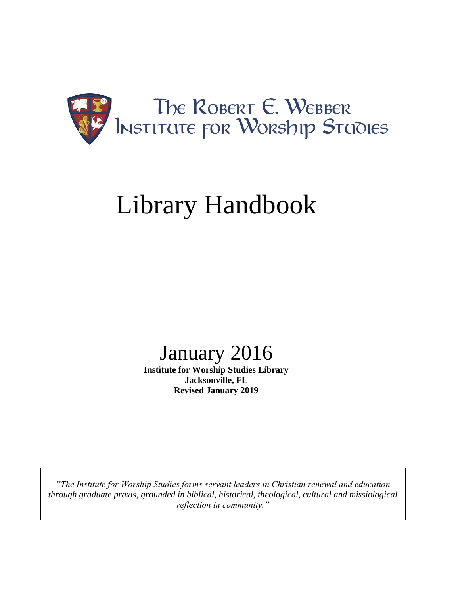

# Library Handbook

## January 2016

**Institute for Worship Studies Library Jacksonville, FL Revised January 2019**

*"The Institute for Worship Studies forms servant leaders in Christian renewal and education through graduate praxis, grounded in biblical, historical, theological, cultural and missiological reflection in community."*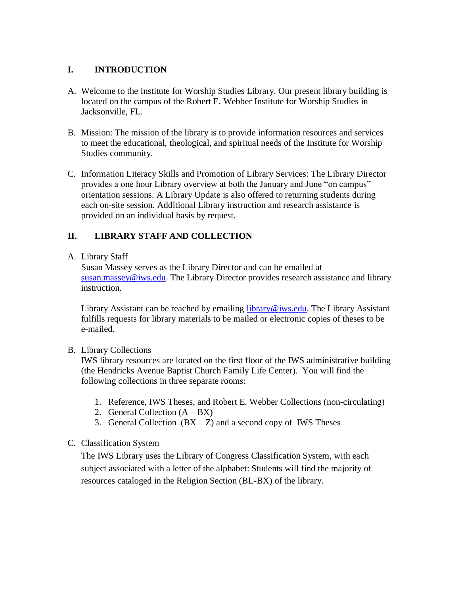#### **I. INTRODUCTION**

- A. Welcome to the Institute for Worship Studies Library. Our present library building is located on the campus of the Robert E. Webber Institute for Worship Studies in Jacksonville, FL.
- B. Mission: The mission of the library is to provide information resources and services to meet the educational, theological, and spiritual needs of the Institute for Worship Studies community.
- C. Information Literacy Skills and Promotion of Library Services: The Library Director provides a one hour Library overview at both the January and June "on campus" orientation sessions. A Library Update is also offered to returning students during each on-site session. Additional Library instruction and research assistance is provided on an individual basis by request.

#### **II. LIBRARY STAFF AND COLLECTION**

#### A. Library Staff

Susan Massey serves as the Library Director and can be emailed at [susan.massey@iws.edu.](mailto:csittema@iws.edu) The Library Director provides research assistance and library instruction.

Library Assistant can be reached by emailing [library@iws.edu.](mailto:library@iws.edu) The Library Assistant fulfills requests for library materials to be mailed or electronic copies of theses to be e-mailed.

#### B. Library Collections

IWS library resources are located on the first floor of the IWS administrative building (the Hendricks Avenue Baptist Church Family Life Center). You will find the following collections in three separate rooms:

- 1. Reference, IWS Theses, and Robert E. Webber Collections (non-circulating)
- 2. General Collection  $(A BX)$
- 3. General Collection  $(BX Z)$  and a second copy of IWS Theses

#### C. Classification System

The IWS Library uses the Library of Congress Classification System, with each subject associated with a letter of the alphabet: Students will find the majority of resources cataloged in the Religion Section (BL-BX) of the library.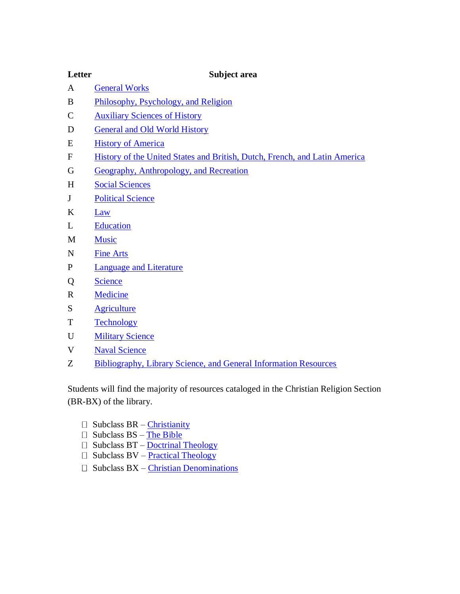#### **Letter Subject area**

- A [General Works](https://en.wikipedia.org/wiki/Library_of_Congress_Classification#Class_A_.E2.80.93_General_Works)
- B [Philosophy, Psychology, and Religion](https://en.wikipedia.org/wiki/Library_of_Congress_Classification#Class_B_.E2.80.93_Philosophy.2C_Psychology.2C_Religion)
- C [Auxiliary Sciences of History](https://en.wikipedia.org/wiki/Library_of_Congress_Classification#Class_C_.E2.80.93_Auxiliary_Sciences_of_History_.28General.29)
- D [General and Old World History](https://en.wikipedia.org/wiki/Library_of_Congress_Classification#Class_D_.E2.80.93_World_History_.28except_American_History.29)
- E [History of America](https://en.wikipedia.org/wiki/Library_of_Congress_Classification#Class_E_-_American_History)
- F [History of the United States and British, Dutch, French, and Latin America](https://en.wikipedia.org/wiki/Library_of_Congress_Classification#Class_F_.E2.80.93_Local_History_of_the_United_States_and_British.2C_Dutch.2C_French.2C_and_Latin_America)
- G [Geography, Anthropology, and Recreation](https://en.wikipedia.org/wiki/Library_of_Congress_Classification#Class_G_.E2.80.93_Geography.2C_Anthropology.2C_Recreation)
- H [Social Sciences](https://en.wikipedia.org/wiki/Library_of_Congress_Classification#Class_H_.E2.80.93_Social_Sciences)
- J [Political Science](https://en.wikipedia.org/wiki/Library_of_Congress_Classification#Class_J_.E2.80.93_Political_Science)
- K [Law](https://en.wikipedia.org/wiki/Library_of_Congress_Classification#Class_K_.E2.80.93_Law)
- L [Education](https://en.wikipedia.org/wiki/Library_of_Congress_Classification#Class_L_.E2.80.93_Education)
- M [Music](https://en.wikipedia.org/wiki/Library_of_Congress_Classification#Class_M_.E2.80.93_Music)
- N [Fine Arts](https://en.wikipedia.org/wiki/Library_of_Congress_Classification#Class_N_.E2.80.93_Fine_Arts)
- P [Language and Literature](https://en.wikipedia.org/wiki/Library_of_Congress_Classification#Class_P_.E2.80.93_Language_and_Literature)
- Q [Science](https://en.wikipedia.org/wiki/Library_of_Congress_Classification#Class_Q_.E2.80.93_Science)
- R [Medicine](https://en.wikipedia.org/wiki/Library_of_Congress_Classification#Class_R_.E2.80.93_Medicine)
- S [Agriculture](https://en.wikipedia.org/wiki/Library_of_Congress_Classification#Class_S_.E2.80.93_Agriculture)
- T [Technology](https://en.wikipedia.org/wiki/Library_of_Congress_Classification#Class_T_.E2.80.93_Technology)
- U [Military Science](https://en.wikipedia.org/wiki/Library_of_Congress_Classification#Class_U_.E2.80.93_Military_Science)
- V Naval [Science](https://en.wikipedia.org/wiki/Library_of_Congress_Classification#Class_V_.E2.80.93_Naval_Science)
- Z [Bibliography, Library Science, and General Information Resources](https://en.wikipedia.org/wiki/Library_of_Congress_Classification#Class_Z_.E2.80.93_Bibliography.2C_Library_Science)

Students will find the majority of resources cataloged in the Christian Religion Section (BR-BX) of the library.

- $\square$  Subclass BR [Christianity](https://en.wikipedia.org/wiki/Outline_of_Christianity)
- $\Box$  Subclass BS [The Bible](https://en.wikipedia.org/wiki/The_Bible)
- $\Box$  Subclass BT [Doctrinal Theology](https://en.wikipedia.org/w/index.php?title=Doctrinal_theology&action=edit&redlink=1)
- $\Box$  Subclass BV <u>[Practical Theology](https://en.wikipedia.org/wiki/Practical_theology)</u>
- $\square$  Subclass BX [Christian Denominations](https://en.wikipedia.org/wiki/Library_of_Congress_Classification:Class_B,_subclass_BX_--_Christian_Denominations)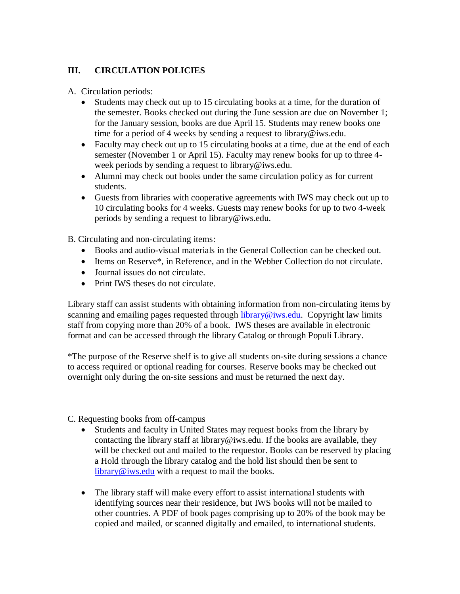#### **III. CIRCULATION POLICIES**

A. Circulation periods:

- Students may check out up to 15 circulating books at a time, for the duration of the semester. Books checked out during the June session are due on November 1; for the January session, books are due April 15. Students may renew books one time for a period of 4 weeks by sending a request to library@iws.edu.
- Faculty may check out up to 15 circulating books at a time, due at the end of each semester (November 1 or April 15). Faculty may renew books for up to three 4 week periods by sending a request to library@iws.edu.
- Alumni may check out books under the same circulation policy as for current students.
- Guests from libraries with cooperative agreements with IWS may check out up to 10 circulating books for 4 weeks. Guests may renew books for up to two 4-week periods by sending a request to library@iws.edu.

B. Circulating and non-circulating items:

- Books and audio-visual materials in the General Collection can be checked out.
- Items on Reserve\*, in Reference, and in the Webber Collection do not circulate.
- Journal issues do not circulate.
- Print IWS theses do not circulate.

Library staff can assist students with obtaining information from non-circulating items by scanning and emailing pages requested through [library@iws.edu.](mailto:library@iws.edu) Copyright law limits staff from copying more than 20% of a book. IWS theses are available in electronic format and can be accessed through the library Catalog or through Populi Library.

\*The purpose of the Reserve shelf is to give all students on-site during sessions a chance to access required or optional reading for courses. Reserve books may be checked out overnight only during the on-site sessions and must be returned the next day.

C. Requesting books from off-campus

- Students and faculty in United States may request books from the library by contacting the library staff at library@iws.edu. If the books are available, they will be checked out and mailed to the requestor. Books can be reserved by placing a Hold through the library catalog and the hold list should then be sent to  $\frac{library@iws.edu}{$  $\frac{library@iws.edu}{$  $\frac{library@iws.edu}{$  with a request to mail the books.
- The library staff will make every effort to assist international students with identifying sources near their residence, but IWS books will not be mailed to other countries. A PDF of book pages comprising up to 20% of the book may be copied and mailed, or scanned digitally and emailed, to international students.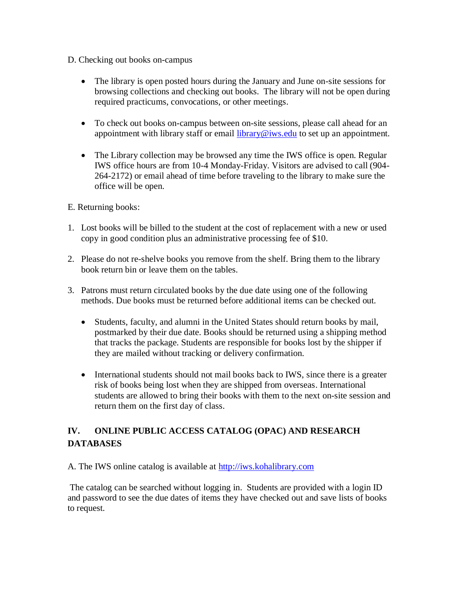- D. Checking out books on-campus
	- The library is open posted hours during the January and June on-site sessions for browsing collections and checking out books. The library will not be open during required practicums, convocations, or other meetings.
	- To check out books on-campus between on-site sessions, please call ahead for an appointment with library staff or email [library@iws.edu](mailto:library@iws.edu) to set up an appointment.
	- The Library collection may be browsed any time the IWS office is open. Regular IWS office hours are from 10-4 Monday-Friday. Visitors are advised to call (904- 264-2172) or email ahead of time before traveling to the library to make sure the office will be open.
- E. Returning books:
- 1. Lost books will be billed to the student at the cost of replacement with a new or used copy in good condition plus an administrative processing fee of \$10.
- 2. Please do not re-shelve books you remove from the shelf. Bring them to the library book return bin or leave them on the tables.
- 3. Patrons must return circulated books by the due date using one of the following methods. Due books must be returned before additional items can be checked out.
	- Students, faculty, and alumni in the United States should return books by mail, postmarked by their due date. Books should be returned using a shipping method that tracks the package. Students are responsible for books lost by the shipper if they are mailed without tracking or delivery confirmation.
	- International students should not mail books back to IWS, since there is a greater risk of books being lost when they are shipped from overseas. International students are allowed to bring their books with them to the next on-site session and return them on the first day of class.

### **IV. ONLINE PUBLIC ACCESS CATALOG (OPAC) AND RESEARCH DATABASES**

A. The IWS online catalog is available at [http://iws.kohalibrary.com](http://iws.kohalibrary.com/)

The catalog can be searched without logging in. Students are provided with a login ID and password to see the due dates of items they have checked out and save lists of books to request.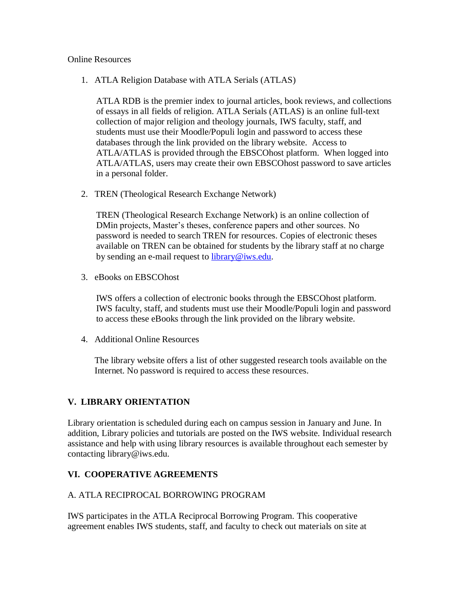#### Online Resources

1. ATLA Religion Database with ATLA Serials (ATLAS)

ATLA RDB is the premier index to journal articles, book reviews, and collections of essays in all fields of religion. ATLA Serials (ATLAS) is an online full-text collection of major religion and theology journals, IWS faculty, staff, and students must use their Moodle/Populi login and password to access these databases through the link provided on the library website. Access to ATLA/ATLAS is provided through the EBSCOhost platform. When logged into ATLA/ATLAS, users may create their own EBSCOhost password to save articles in a personal folder.

2. TREN (Theological Research Exchange Network)

TREN (Theological Research Exchange Network) is an online collection of DMin projects, Master's theses, conference papers and other sources. No password is needed to search TREN for resources. Copies of electronic theses available on TREN can be obtained for students by the library staff at no charge by sending an e-mail request to [library@iws.edu.](mailto:library@iws.edu)

3. eBooks on EBSCOhost

IWS offers a collection of electronic books through the EBSCOhost platform. IWS faculty, staff, and students must use their Moodle/Populi login and password to access these eBooks through the link provided on the library website.

4. Additional Online Resources

The library website offers a list of other suggested research tools available on the Internet. No password is required to access these resources.

#### **V. LIBRARY ORIENTATION**

Library orientation is scheduled during each on campus session in January and June. In addition, Library policies and tutorials are posted on the IWS website. Individual research assistance and help with using library resources is available throughout each semester by contacting library@iws.edu.

#### **VI. COOPERATIVE AGREEMENTS**

#### A. ATLA RECIPROCAL BORROWING PROGRAM

IWS participates in the ATLA Reciprocal Borrowing Program. This cooperative agreement enables IWS students, staff, and faculty to check out materials on site at